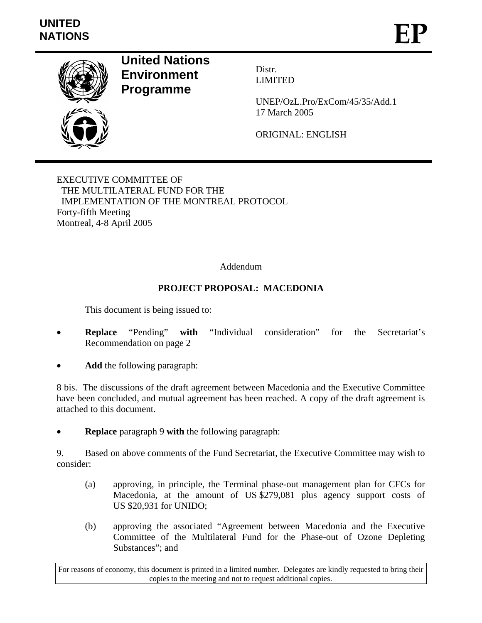

# **United Nations Environment Programme**

Distr. LIMITED

UNEP/OzL.Pro/ExCom/45/35/Add.1 17 March 2005

ORIGINAL: ENGLISH

EXECUTIVE COMMITTEE OF THE MULTILATERAL FUND FOR THE IMPLEMENTATION OF THE MONTREAL PROTOCOL Forty-fifth Meeting Montreal, 4-8 April 2005

### Addendum

### **PROJECT PROPOSAL: MACEDONIA**

This document is being issued to:

- **Replace** "Pending" **with** "Individual consideration" for the Secretariat's Recommendation on page 2
- **Add** the following paragraph:

8 bis. The discussions of the draft agreement between Macedonia and the Executive Committee have been concluded, and mutual agreement has been reached. A copy of the draft agreement is attached to this document.

• **Replace** paragraph 9 **with** the following paragraph:

9. Based on above comments of the Fund Secretariat, the Executive Committee may wish to consider:

- (a) approving, in principle, the Terminal phase-out management plan for CFCs for Macedonia, at the amount of US \$279,081 plus agency support costs of US \$20,931 for UNIDO;
- (b) approving the associated "Agreement between Macedonia and the Executive Committee of the Multilateral Fund for the Phase-out of Ozone Depleting Substances"; and

For reasons of economy, this document is printed in a limited number. Delegates are kindly requested to bring their copies to the meeting and not to request additional copies.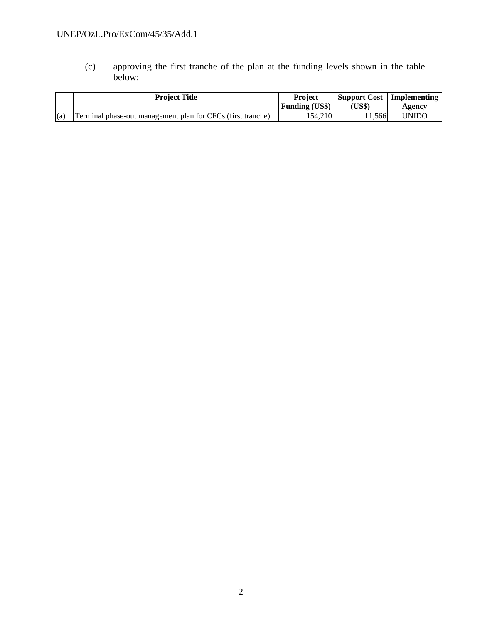## UNEP/OzL.Pro/ExCom/45/35/Add.1

(c) approving the first tranche of the plan at the funding levels shown in the table below:

|     | <b>Project Title</b>                                        | <b>Project</b>        |        | <b>Support Cost</b>   Implementing |
|-----|-------------------------------------------------------------|-----------------------|--------|------------------------------------|
|     |                                                             | <b>Funding (US\$)</b> | 'US\$) | Agencv                             |
| (a) | Terminal phase-out management plan for CFCs (first tranche) | 154.210               | .1.566 | <b>UNIDO</b>                       |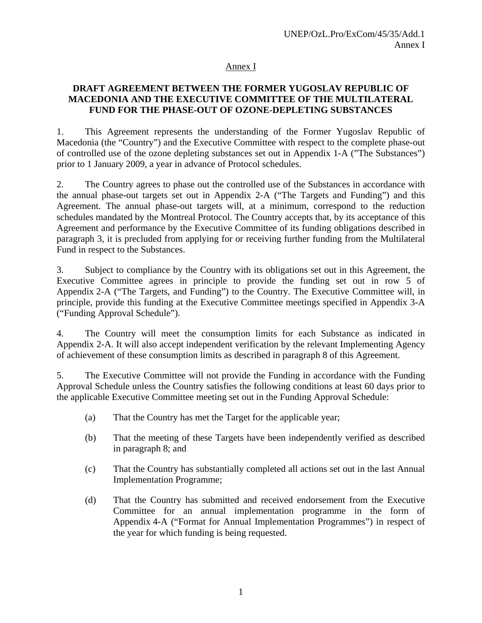### Annex I

#### **DRAFT AGREEMENT BETWEEN THE FORMER YUGOSLAV REPUBLIC OF MACEDONIA AND THE EXECUTIVE COMMITTEE OF THE MULTILATERAL FUND FOR THE PHASE-OUT OF OZONE-DEPLETING SUBSTANCES**

1. This Agreement represents the understanding of the Former Yugoslav Republic of Macedonia (the "Country") and the Executive Committee with respect to the complete phase-out of controlled use of the ozone depleting substances set out in Appendix 1-A ("The Substances") prior to 1 January 2009, a year in advance of Protocol schedules.

2. The Country agrees to phase out the controlled use of the Substances in accordance with the annual phase-out targets set out in Appendix 2-A ("The Targets and Funding") and this Agreement. The annual phase-out targets will, at a minimum, correspond to the reduction schedules mandated by the Montreal Protocol. The Country accepts that, by its acceptance of this Agreement and performance by the Executive Committee of its funding obligations described in paragraph 3, it is precluded from applying for or receiving further funding from the Multilateral Fund in respect to the Substances.

3. Subject to compliance by the Country with its obligations set out in this Agreement, the Executive Committee agrees in principle to provide the funding set out in row 5 of Appendix 2-A ("The Targets, and Funding") to the Country. The Executive Committee will, in principle, provide this funding at the Executive Committee meetings specified in Appendix 3-A ("Funding Approval Schedule").

4. The Country will meet the consumption limits for each Substance as indicated in Appendix 2-A. It will also accept independent verification by the relevant Implementing Agency of achievement of these consumption limits as described in paragraph 8 of this Agreement.

5. The Executive Committee will not provide the Funding in accordance with the Funding Approval Schedule unless the Country satisfies the following conditions at least 60 days prior to the applicable Executive Committee meeting set out in the Funding Approval Schedule:

- (a) That the Country has met the Target for the applicable year;
- (b) That the meeting of these Targets have been independently verified as described in paragraph 8; and
- (c) That the Country has substantially completed all actions set out in the last Annual Implementation Programme;
- (d) That the Country has submitted and received endorsement from the Executive Committee for an annual implementation programme in the form of Appendix 4-A ("Format for Annual Implementation Programmes") in respect of the year for which funding is being requested.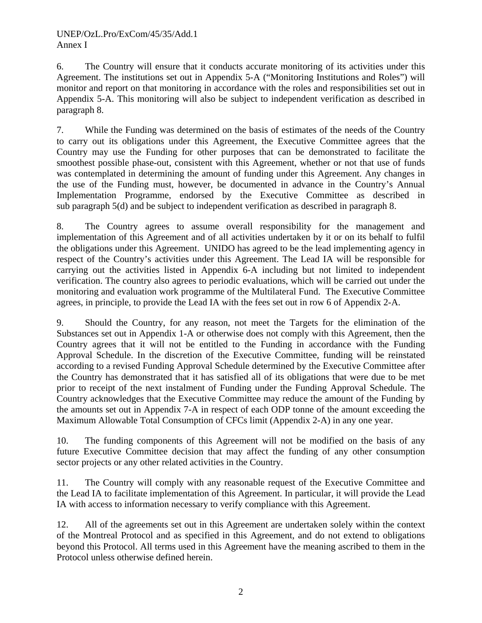### UNEP/OzL.Pro/ExCom/45/35/Add.1 Annex I

6. The Country will ensure that it conducts accurate monitoring of its activities under this Agreement. The institutions set out in Appendix 5-A ("Monitoring Institutions and Roles") will monitor and report on that monitoring in accordance with the roles and responsibilities set out in Appendix 5-A. This monitoring will also be subject to independent verification as described in paragraph 8.

7. While the Funding was determined on the basis of estimates of the needs of the Country to carry out its obligations under this Agreement, the Executive Committee agrees that the Country may use the Funding for other purposes that can be demonstrated to facilitate the smoothest possible phase-out, consistent with this Agreement, whether or not that use of funds was contemplated in determining the amount of funding under this Agreement. Any changes in the use of the Funding must, however, be documented in advance in the Country's Annual Implementation Programme, endorsed by the Executive Committee as described in sub paragraph 5(d) and be subject to independent verification as described in paragraph 8.

8. The Country agrees to assume overall responsibility for the management and implementation of this Agreement and of all activities undertaken by it or on its behalf to fulfil the obligations under this Agreement. UNIDO has agreed to be the lead implementing agency in respect of the Country's activities under this Agreement. The Lead IA will be responsible for carrying out the activities listed in Appendix 6-A including but not limited to independent verification. The country also agrees to periodic evaluations, which will be carried out under the monitoring and evaluation work programme of the Multilateral Fund. The Executive Committee agrees, in principle, to provide the Lead IA with the fees set out in row 6 of Appendix 2-A.

9. Should the Country, for any reason, not meet the Targets for the elimination of the Substances set out in Appendix 1-A or otherwise does not comply with this Agreement, then the Country agrees that it will not be entitled to the Funding in accordance with the Funding Approval Schedule. In the discretion of the Executive Committee, funding will be reinstated according to a revised Funding Approval Schedule determined by the Executive Committee after the Country has demonstrated that it has satisfied all of its obligations that were due to be met prior to receipt of the next instalment of Funding under the Funding Approval Schedule. The Country acknowledges that the Executive Committee may reduce the amount of the Funding by the amounts set out in Appendix 7-A in respect of each ODP tonne of the amount exceeding the Maximum Allowable Total Consumption of CFCs limit (Appendix 2-A) in any one year.

10. The funding components of this Agreement will not be modified on the basis of any future Executive Committee decision that may affect the funding of any other consumption sector projects or any other related activities in the Country.

11. The Country will comply with any reasonable request of the Executive Committee and the Lead IA to facilitate implementation of this Agreement. In particular, it will provide the Lead IA with access to information necessary to verify compliance with this Agreement.

12. All of the agreements set out in this Agreement are undertaken solely within the context of the Montreal Protocol and as specified in this Agreement, and do not extend to obligations beyond this Protocol. All terms used in this Agreement have the meaning ascribed to them in the Protocol unless otherwise defined herein.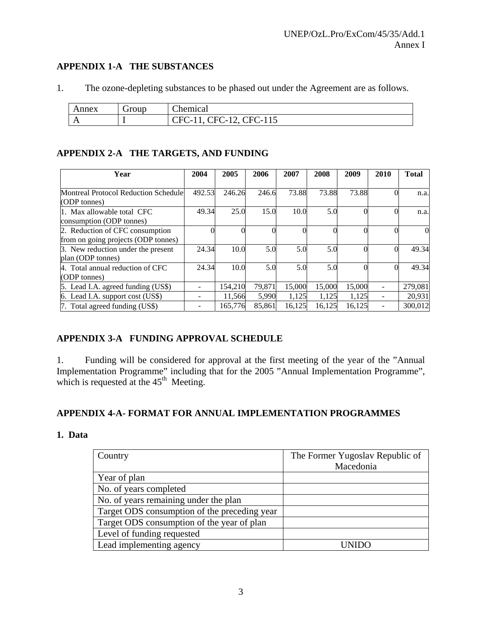### **APPENDIX 1-A THE SUBSTANCES**

| Annex          | <b>G</b> roup | ~1<br>hemical                |
|----------------|---------------|------------------------------|
| $\overline{ }$ |               | , CFC-12, CFC-115<br>CFC-11, |

1. The ozone-depleting substances to be phased out under the Agreement are as follows.

### **APPENDIX 2-A THE TARGETS, AND FUNDING**

| Year                                                                   | 2004   | 2005    | 2006   | 2007   | 2008   | 2009   | 2010 | <b>Total</b> |
|------------------------------------------------------------------------|--------|---------|--------|--------|--------|--------|------|--------------|
| Montreal Protocol Reduction Schedule<br>(ODP tonnes)                   | 492.53 | 246.26  | 246.6  | 73.88  | 73.88  | 73.88  |      | n.a.         |
| 1. Max allowable total CFC<br>consumption (ODP tonnes)                 | 49.34  | 25.0    | 15.0   | 10.0   | 5.0    |        |      | n.a.         |
| 2. Reduction of CFC consumption<br>from on going projects (ODP tonnes) |        |         |        |        |        |        |      | 0            |
| 3. New reduction under the present<br>plan (ODP tonnes)                | 24.34  | 10.0    | 5.0    | 5.0    | 5.0    |        |      | 49.34        |
| 4. Total annual reduction of CFC<br>(ODP tonnes)                       | 24.34  | 10.0    | 5.0    | 5.0    | 5.0    |        |      | 49.34        |
| 5. Lead I.A. agreed funding (US\$)                                     |        | 154.210 | 79,871 | 15,000 | 15,000 | 15,000 |      | 279,081      |
| 6. Lead I.A. support cost (US\$)                                       | -      | 11,566  | 5,990  | 1,125  | 1,125  | 1,125  |      | 20,931       |
| 7. Total agreed funding (US\$)                                         |        | 165,776 | 85,861 | 16,125 | 16,125 | 16,125 |      | 300,012      |

### **APPENDIX 3-A FUNDING APPROVAL SCHEDULE**

1. Funding will be considered for approval at the first meeting of the year of the "Annual Implementation Programme" including that for the 2005 "Annual Implementation Programme", which is requested at the  $45<sup>th</sup>$  Meeting.

### **APPENDIX 4-A- FORMAT FOR ANNUAL IMPLEMENTATION PROGRAMMES**

#### **1. Data**

| Country                                      | The Former Yugoslav Republic of<br>Macedonia |
|----------------------------------------------|----------------------------------------------|
| Year of plan                                 |                                              |
| No. of years completed                       |                                              |
| No. of years remaining under the plan        |                                              |
| Target ODS consumption of the preceding year |                                              |
| Target ODS consumption of the year of plan   |                                              |
| Level of funding requested                   |                                              |
| Lead implementing agency                     |                                              |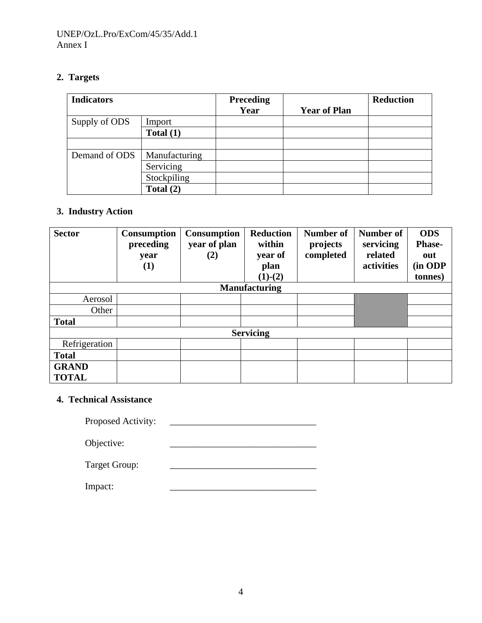### **2. Targets**

| <b>Indicators</b> |               | Preceding<br>Year | <b>Year of Plan</b> | <b>Reduction</b> |
|-------------------|---------------|-------------------|---------------------|------------------|
| Supply of ODS     | Import        |                   |                     |                  |
|                   | Total $(1)$   |                   |                     |                  |
|                   |               |                   |                     |                  |
| Demand of ODS     | Manufacturing |                   |                     |                  |
|                   | Servicing     |                   |                     |                  |
|                   | Stockpiling   |                   |                     |                  |
|                   | Total $(2)$   |                   |                     |                  |

### **3. Industry Action**

| <b>Sector</b>                | Consumption<br>preceding<br>year<br>(1) | <b>Consumption</b><br>year of plan<br>(2) | <b>Reduction</b><br>within<br>year of<br>plan<br>$(1)-(2)$ | <b>Number of</b><br>projects<br>completed | Number of<br>servicing<br>related<br>activities | <b>ODS</b><br><b>Phase-</b><br>out<br>(in ODP<br>tonnes) |
|------------------------------|-----------------------------------------|-------------------------------------------|------------------------------------------------------------|-------------------------------------------|-------------------------------------------------|----------------------------------------------------------|
|                              |                                         |                                           | <b>Manufacturing</b>                                       |                                           |                                                 |                                                          |
| Aerosol                      |                                         |                                           |                                                            |                                           |                                                 |                                                          |
| Other                        |                                         |                                           |                                                            |                                           |                                                 |                                                          |
| <b>Total</b>                 |                                         |                                           |                                                            |                                           |                                                 |                                                          |
|                              |                                         |                                           | <b>Servicing</b>                                           |                                           |                                                 |                                                          |
| Refrigeration                |                                         |                                           |                                                            |                                           |                                                 |                                                          |
| <b>Total</b>                 |                                         |                                           |                                                            |                                           |                                                 |                                                          |
| <b>GRAND</b><br><b>TOTAL</b> |                                         |                                           |                                                            |                                           |                                                 |                                                          |

### **4. Technical Assistance**

Proposed Activity: \_\_\_\_\_\_\_\_\_\_\_\_\_\_\_\_\_\_\_\_\_\_\_\_\_\_\_\_\_\_\_

Objective:

Target Group: \_\_\_\_\_\_\_\_\_\_\_\_\_\_\_\_\_\_\_\_\_\_\_\_\_\_\_\_\_\_\_

Impact: \_\_\_\_\_\_\_\_\_\_\_\_\_\_\_\_\_\_\_\_\_\_\_\_\_\_\_\_\_\_\_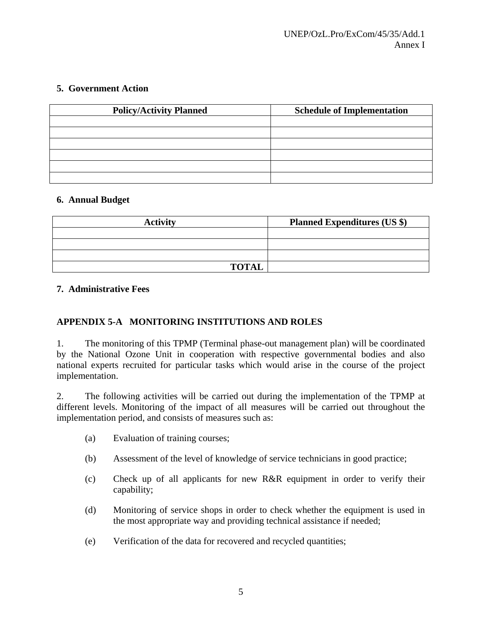### **5. Government Action**

| <b>Policy/Activity Planned</b> | <b>Schedule of Implementation</b> |  |  |  |
|--------------------------------|-----------------------------------|--|--|--|
|                                |                                   |  |  |  |
|                                |                                   |  |  |  |
|                                |                                   |  |  |  |
|                                |                                   |  |  |  |
|                                |                                   |  |  |  |
|                                |                                   |  |  |  |

### **6. Annual Budget**

| <b>Activity</b> | <b>Planned Expenditures (US \$)</b> |
|-----------------|-------------------------------------|
|                 |                                     |
|                 |                                     |
|                 |                                     |
| <b>TOTAL</b>    |                                     |

#### **7. Administrative Fees**

### **APPENDIX 5-A MONITORING INSTITUTIONS AND ROLES**

1. The monitoring of this TPMP (Terminal phase-out management plan) will be coordinated by the National Ozone Unit in cooperation with respective governmental bodies and also national experts recruited for particular tasks which would arise in the course of the project implementation.

2. The following activities will be carried out during the implementation of the TPMP at different levels. Monitoring of the impact of all measures will be carried out throughout the implementation period, and consists of measures such as:

- (a) Evaluation of training courses;
- (b) Assessment of the level of knowledge of service technicians in good practice;
- (c) Check up of all applicants for new R&R equipment in order to verify their capability;
- (d) Monitoring of service shops in order to check whether the equipment is used in the most appropriate way and providing technical assistance if needed;
- (e) Verification of the data for recovered and recycled quantities;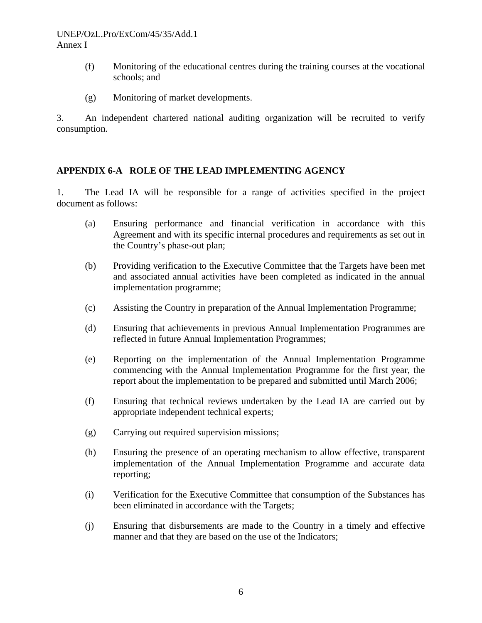#### UNEP/OzL.Pro/ExCom/45/35/Add.1 Annex I

- (f) Monitoring of the educational centres during the training courses at the vocational schools; and
- (g) Monitoring of market developments.

3. An independent chartered national auditing organization will be recruited to verify consumption.

### **APPENDIX 6-A ROLE OF THE LEAD IMPLEMENTING AGENCY**

1. The Lead IA will be responsible for a range of activities specified in the project document as follows:

- (a) Ensuring performance and financial verification in accordance with this Agreement and with its specific internal procedures and requirements as set out in the Country's phase-out plan;
- (b) Providing verification to the Executive Committee that the Targets have been met and associated annual activities have been completed as indicated in the annual implementation programme;
- (c) Assisting the Country in preparation of the Annual Implementation Programme;
- (d) Ensuring that achievements in previous Annual Implementation Programmes are reflected in future Annual Implementation Programmes;
- (e) Reporting on the implementation of the Annual Implementation Programme commencing with the Annual Implementation Programme for the first year, the report about the implementation to be prepared and submitted until March 2006;
- (f) Ensuring that technical reviews undertaken by the Lead IA are carried out by appropriate independent technical experts;
- (g) Carrying out required supervision missions;
- (h) Ensuring the presence of an operating mechanism to allow effective, transparent implementation of the Annual Implementation Programme and accurate data reporting;
- (i) Verification for the Executive Committee that consumption of the Substances has been eliminated in accordance with the Targets;
- (j) Ensuring that disbursements are made to the Country in a timely and effective manner and that they are based on the use of the Indicators;